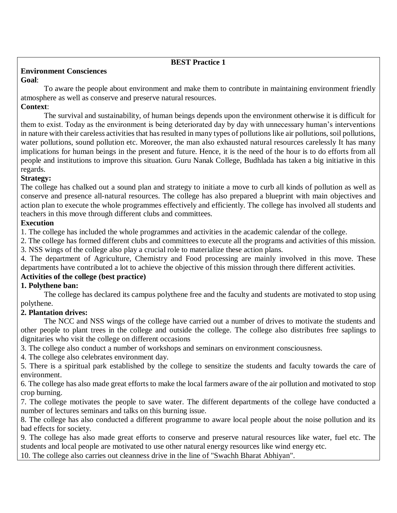# **BEST Practice 1**

#### **Environment Consciences Goal**:

To aware the people about environment and make them to contribute in maintaining environment friendly atmosphere as well as conserve and preserve natural resources.

### **Context**:

The survival and sustainability, of human beings depends upon the environment otherwise it is difficult for them to exist. Today as the environment is being deteriorated day by day with unnecessary human's interventions in nature with their careless activities that has resulted in many types of pollutions like air pollutions, soil pollutions, water pollutions, sound pollution etc. Moreover, the man also exhausted natural resources carelessly It has many implications for human beings in the present and future. Hence, it is the need of the hour is to do efforts from all people and institutions to improve this situation. Guru Nanak College, Budhlada has taken a big initiative in this regards.

### **Strategy:**

The college has chalked out a sound plan and strategy to initiate a move to curb all kinds of pollution as well as conserve and presence all-natural resources. The college has also prepared a blueprint with main objectives and action plan to execute the whole programmes effectively and efficiently. The college has involved all students and teachers in this move through different clubs and committees.

# **Execution**

1. The college has included the whole programmes and activities in the academic calendar of the college.

2. The college has formed different clubs and committees to execute all the programs and activities of this mission.

3. NSS wings of the college also play a crucial role to materialize these action plans.

4. The department of Agriculture, Chemistry and Food processing are mainly involved in this move. These departments have contributed a lot to achieve the objective of this mission through there different activities.

# **Activities of the college (best practice)**

# **1. Polythene ban:**

The college has declared its campus polythene free and the faculty and students are motivated to stop using polythene.

# **2. Plantation drives:**

The NCC and NSS wings of the college have carried out a number of drives to motivate the students and other people to plant trees in the college and outside the college. The college also distributes free saplings to dignitaries who visit the college on different occasions

3. The college also conduct a number of workshops and seminars on environment consciousness.

4. The college also celebrates environment day.

5. There is a spiritual park established by the college to sensitize the students and faculty towards the care of environment.

6. The college has also made great efforts to make the local farmers aware of the air pollution and motivated to stop crop burning.

7. The college motivates the people to save water. The different departments of the college have conducted a number of lectures seminars and talks on this burning issue.

8. The college has also conducted a different programme to aware local people about the noise pollution and its bad effects for society.

9. The college has also made great efforts to conserve and preserve natural resources like water, fuel etc. The students and local people are motivated to use other natural energy resources like wind energy etc.

10. The college also carries out cleanness drive in the line of "Swachh Bharat Abhiyan".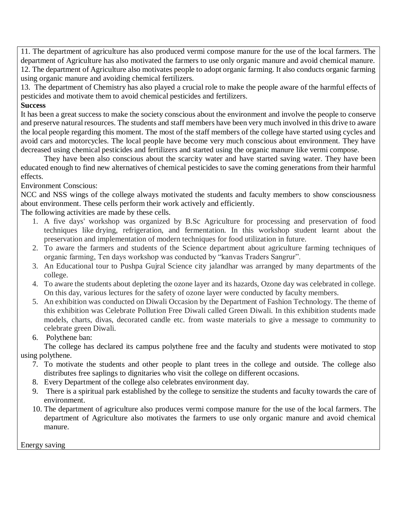11. The department of agriculture has also produced vermi compose manure for the use of the local farmers. The department of Agriculture has also motivated the farmers to use only organic manure and avoid chemical manure. 12. The department of Agriculture also motivates people to adopt organic farming. It also conducts organic farming using organic manure and avoiding chemical fertilizers.

13. The department of Chemistry has also played a crucial role to make the people aware of the harmful effects of pesticides and motivate them to avoid chemical pesticides and fertilizers.

### **Success**

It has been a great success to make the society conscious about the environment and involve the people to conserve and preserve natural resources. The students and staff members have been very much involved in this drive to aware the local people regarding this moment. The most of the staff members of the college have started using cycles and avoid cars and motorcycles. The local people have become very much conscious about environment. They have decreased using chemical pesticides and fertilizers and started using the organic manure like vermi compose.

They have been also conscious about the scarcity water and have started saving water. They have been educated enough to find new alternatives of chemical pesticides to save the coming generations from their harmful effects.

### Environment Conscious:

NCC and NSS wings of the college always motivated the students and faculty members to show consciousness about environment. These cells perform their work actively and efficiently.

The following activities are made by these cells.

- 1. A five days' workshop was organized by B.Sc Agriculture for processing and preservation of food techniques like drying, refrigeration, and fermentation. In this workshop student learnt about the preservation and implementation of modern techniques for food utilization in future.
- 2. To aware the farmers and students of the Science department about agriculture farming techniques of organic farming, Ten days workshop was conducted by "kanvas Traders Sangrur".
- 3. An Educational tour to Pushpa Gujral Science city jalandhar was arranged by many departments of the college.
- 4. To aware the students about depleting the ozone layer and its hazards, Ozone day was celebrated in college. On this day, various lectures for the safety of ozone layer were conducted by faculty members.
- 5. An exhibition was conducted on Diwali Occasion by the Department of Fashion Technology. The theme of this exhibition was Celebrate Pollution Free Diwali called Green Diwali. In this exhibition students made models, charts, divas, decorated candle etc. from waste materials to give a message to community to celebrate green Diwali.
- 6. Polythene ban:

The college has declared its campus polythene free and the faculty and students were motivated to stop using polythene.

- 7. To motivate the students and other people to plant trees in the college and outside. The college also distributes free saplings to dignitaries who visit the college on different occasions.
- 8. Every Department of the college also celebrates environment day.
- 9. There is a spiritual park established by the college to sensitize the students and faculty towards the care of environment.
- 10. The department of agriculture also produces vermi compose manure for the use of the local farmers. The department of Agriculture also motivates the farmers to use only organic manure and avoid chemical manure.

Energy saving